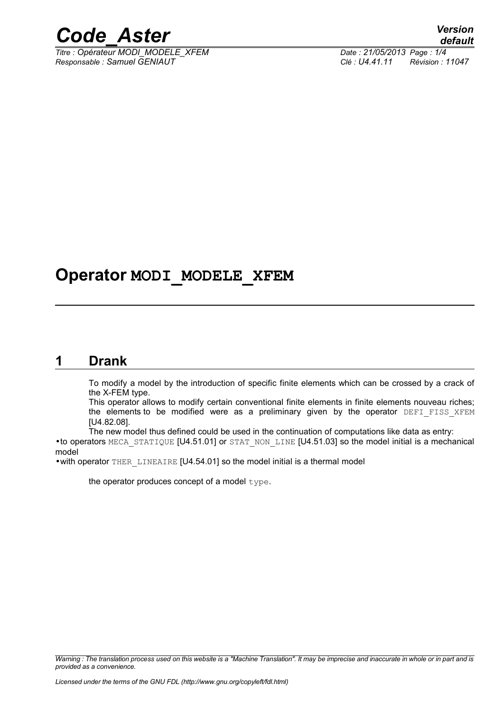

*Titre : Opérateur MODI\_MODELE\_XFEM Date : 21/05/2013 Page : 1/4 Responsable : Samuel GENIAUT Clé : U4.41.11 Révision : 11047*

# **Operator MODI\_MODELE\_XFEM**

### **1 Drank**

To modify a model by the introduction of specific finite elements which can be crossed by a crack of the X-FEM type.

This operator allows to modify certain conventional finite elements in finite elements nouveau riches; the elements to be modified were as a preliminary given by the operator DEFI FISS XFEM [U4.82.08].

The new model thus defined could be used in the continuation of computations like data as entry: •to operators MECA\_STATIQUE [U4.51.01] or STAT\_NON\_LINE [U4.51.03] so the model initial is a mechanical model

•with operator THER\_LINEAIRE [U4.54.01] so the model initial is a thermal model

the operator produces concept of a model type.

*Warning : The translation process used on this website is a "Machine Translation". It may be imprecise and inaccurate in whole or in part and is provided as a convenience.*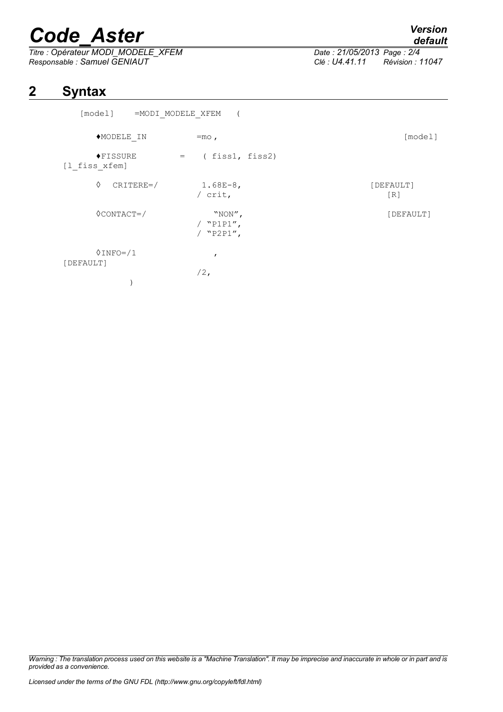# *Code\_Aster Version*

*Titre : Opérateur MODI\_MODELE\_XFEM Date : 21/05/2013 Page : 2/4 Responsable : Samuel GENIAUT Clé : U4.41.11 Révision : 11047*

*default*

## **2 Syntax**

| [model]                     | =MODI MODELE XFEM |                                      |  |                                |
|-----------------------------|-------------------|--------------------------------------|--|--------------------------------|
| ◆MODELE IN                  |                   | $=$ mo,                              |  | [model]                        |
| ◆FISSURE<br>[1 fiss xfem]   | $=$ $-$           | (fiss1, fiss2)                       |  |                                |
| ♦                           | $CRITERE=$        | $1.68E-8,$<br>/ $crit,$              |  | [DEFAULT]<br>$\lceil R \rceil$ |
| $\Diamond$ CONTACT=/        |                   | "NON",<br>/ $"P1P1",$<br>/ $"P2P1",$ |  | [DEFAULT]                      |
| $0$ INFO= $/1$<br>[DEFAULT] |                   | $\mathbf{r}$<br>$/2$ ,               |  |                                |

*Warning : The translation process used on this website is a "Machine Translation". It may be imprecise and inaccurate in whole or in part and is provided as a convenience.*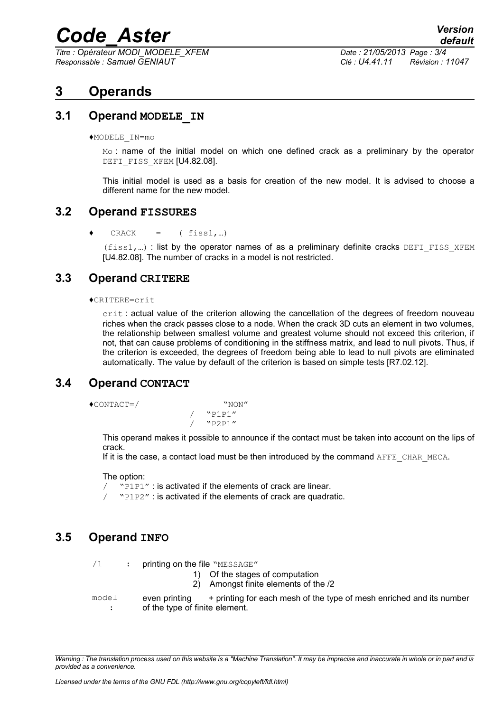# *Code\_Aster Version*

*Titre : Opérateur MODI\_MODELE\_XFEM Date : 21/05/2013 Page : 3/4 Responsable : Samuel GENIAUT Clé : U4.41.11 Révision : 11047*

### **3 Operands**

#### **3.1 Operand MODELE\_IN**

♦MODELE\_IN=mo

Mo: name of the initial model on which one defined crack as a preliminary by the operator DEFI\_FISS\_XFEM [U4.82.08].

This initial model is used as a basis for creation of the new model. It is advised to choose a different name for the new model.

#### **3.2 Operand FISSURES**

 $\triangleleft$  CRACK = (fiss1,...)

 $(fiss1,...)$ : list by the operator names of as a preliminary definite cracks DEFI FISS XFEM [U4.82.08]. The number of cracks in a model is not restricted.

#### **3.3 Operand CRITERE**

#### ♦CRITERE=crit

crit : actual value of the criterion allowing the cancellation of the degrees of freedom nouveau riches when the crack passes close to a node. When the crack 3D cuts an element in two volumes, the relationship between smallest volume and greatest volume should not exceed this criterion, if not, that can cause problems of conditioning in the stiffness matrix, and lead to null pivots. Thus, if the criterion is exceeded, the degrees of freedom being able to lead to null pivots are eliminated automatically. The value by default of the criterion is based on simple tests [R7.02.12].

#### **3.4 Operand CONTACT**

♦CONTACT=/ "NON"

/ "P1P1" / "P2P1"

This operand makes it possible to announce if the contact must be taken into account on the lips of crack.

If it is the case, a contact load must be then introduced by the command AFFE\_CHAR\_MECA.

#### The option:

/ "P1P1" : is activated if the elements of crack are linear.

/ "P1P2" : is activated if the elements of crack are quadratic.

#### **3.5 Operand INFO**

- $/1$  : printing on the file "MESSAGE"
	- 1) Of the stages of computation
	- 2) Amongst finite elements of the /2
- model : even printing + printing for each mesh of the type of mesh enriched and its number of the type of finite element.

*Warning : The translation process used on this website is a "Machine Translation". It may be imprecise and inaccurate in whole or in part and is provided as a convenience.*